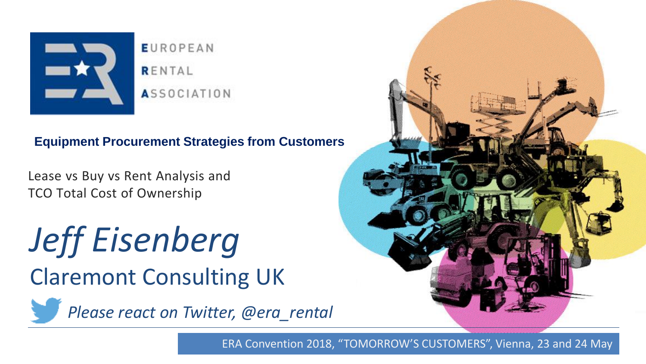

**EUROPEAN** RENTAL **ASSOCIATION** 

#### **Equipment Procurement Strategies from Customers**

Lease vs Buy vs Rent Analysis and TCO Total Cost of Ownership

*Jeff Eisenberg* Claremont Consulting UK

<span id="page-0-0"></span>

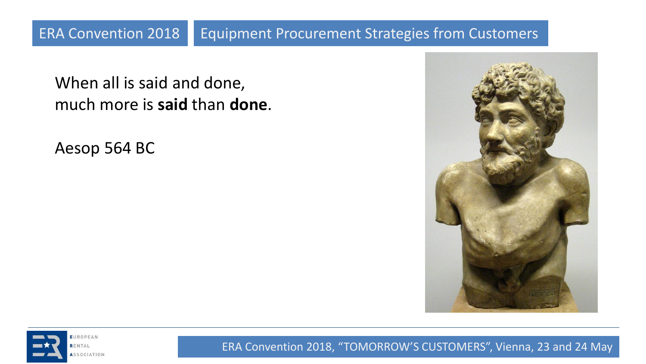When all is said and done, much more is **said** than **done**.

Aesop 564 BC



<span id="page-1-0"></span>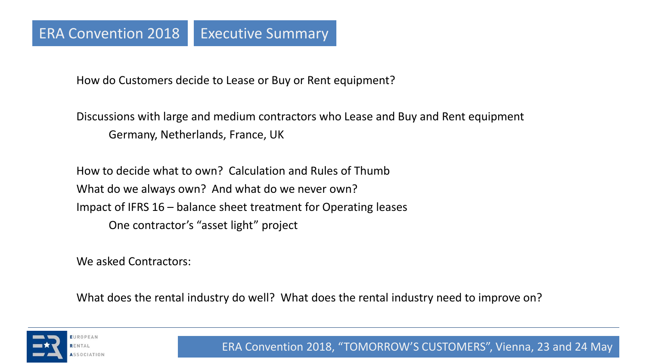How do Customers decide to Lease or Buy or Rent equipment?

Discussions with large and medium contractors who Lease and Buy and Rent equipment Germany, Netherlands, France, UK

How to decide what to own? Calculation and Rules of Thumb What do we always own? And what do we never own? Impact of IFRS 16 – balance sheet treatment for Operating leases One contractor's "asset light" project

We asked Contractors:

What does the rental industry do well? What does the rental industry need to improve on?

<span id="page-2-0"></span>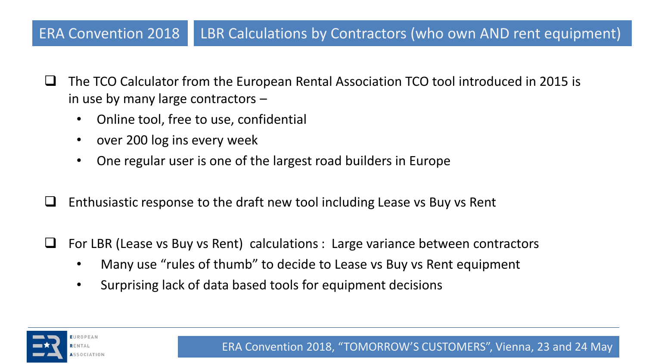# ERA Convention 2018 | LBR Calculations by Contractors (who own AND rent equipment)

- $\Box$  The TCO Calculator from the European Rental Association TCO tool introduced in 2015 is in use by many large contractors –
	- Online tool, free to use, confidential
	- over 200 log ins every week
	- One regular user is one of the largest road builders in Europe
- $\Box$  Enthusiastic response to the draft new tool including Lease vs Buy vs Rent
- $\Box$  For LBR (Lease vs Buy vs Rent) calculations : Large variance between contractors
	- Many use "rules of thumb" to decide to Lease vs Buy vs Rent equipment
	- Surprising lack of data based tools for equipment decisions

<span id="page-3-0"></span>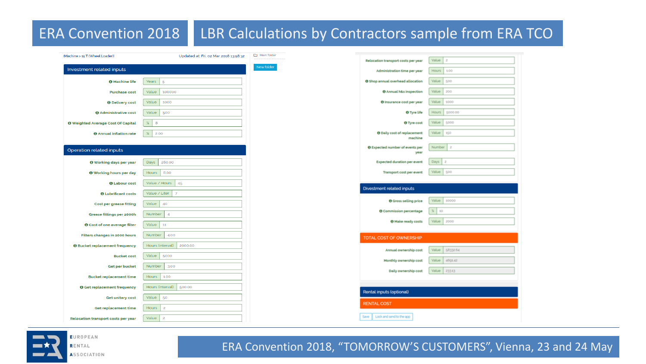# ERA Convention 2018 | LBR Calculations by Contractors sample from ERA TCO

| (Machine > 15 T (Wheel Loader))            | Updated at: Fri, 02 Mar 2018 13:58:32 | Main folder<br>Relocation transport costs per year | Value        |
|--------------------------------------------|---------------------------------------|----------------------------------------------------|--------------|
| Investment related inputs                  |                                       | New folder<br>Administration time per year         | <b>Hours</b> |
| <b>O</b> Machine life                      | Years<br>5                            | O Shop annual overhead allocation                  | Value        |
| <b>Purchase cost</b>                       | Value<br>100000                       | <b>O</b> Annual h&s inspection                     | Value        |
| <b>O</b> Delivery cost                     | Value<br>1000                         | O Insurance cost per year                          | Value        |
| <b>O</b> Administrative cost               | Value<br>500                          | O Tyre life                                        | <b>Hours</b> |
| <b>@</b> Weighted Average Cost Of Capital  | $\boldsymbol{\%}$<br>8                | O Tyre cost                                        | Value        |
| <b>O</b> Annual inflation rate             | $\boldsymbol{\%}$<br>2.00             | <b>O</b> Daily cost of replacement<br>machine      | Value        |
| <b>Operation related inputs</b>            |                                       | O Expected number of events per<br>year            | Numb         |
| <b>O</b> Working days per year             | Days<br>260.00                        | <b>Expected duration per event</b>                 | Days         |
| <b>O</b> Working hours per day             | 8.00<br><b>Hours</b>                  | Transport cost per event                           | Value        |
| <b>O</b> Labour cost                       | Value / Hours<br>45                   |                                                    |              |
| <b>O</b> Lubrificant costs                 | $\overline{7}$<br>Value / Liter       | <b>Divestment related inputs</b>                   |              |
| <b>Cost per grease fitting</b>             | Value<br>40                           | O Gross selling price                              | Value        |
| Grease fittings per 2000h                  | Number<br>$\overline{4}$              | O Commission percentage                            | $X = 10$     |
| <b>O</b> Cost of one average filter        | 11<br>Value                           | O Make ready costs                                 | Value        |
| Filters changes in 2000 hours              | Number<br>4.00                        | TOTAL COST OF OWNERSHIP                            |              |
| <b>O</b> Bucket replacement frequency      | Hours (interval)<br>2000.00           |                                                    |              |
| <b>Bucket cost</b>                         | Value<br>5000                         | Annual ownership cost                              | Value        |
| Get per bucket                             | Number<br>3.00                        | Monthly ownership cost                             | Value        |
| <b>Bucket replacement time</b>             | <b>Hours</b><br>1.00                  | Daily ownership cost                               | Value        |
| <b>O</b> Get replacement frequency         | Hours (interval)<br>500.00            |                                                    |              |
| <b>Get unitary cost</b>                    | Value<br>50                           | Rental inputs (optional)                           |              |
| Get replacement time                       | $\overline{c}$<br><b>Hours</b>        | <b>RENTAL COST</b>                                 |              |
| <b>Relocation transport costs per year</b> | Value<br>$\overline{2}$               | Lock and send to the app<br>Save                   |              |
|                                            |                                       |                                                    |              |

<span id="page-4-0"></span>

RENTAL ASSOCIATION **05** ERA Convention 2018, "TOMORROW'S CUSTOMERS", Vienna, 23 and [24](#page-3-0) Ma[y](#page-5-0) 

500

10000

2000

58332.64 4691.42 23313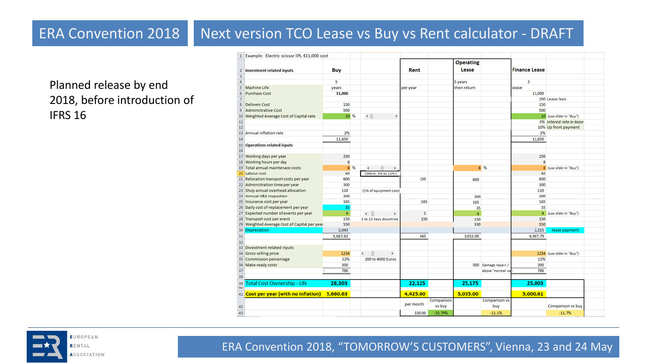# ERA Convention 2018 Next version TCO Lease vs Buy vs Rent calculator - DRAFT

Planned release by end 2018, before introduction of IFRS 16

|                         | Example: Electric scissor lift, €11,000 cost       |                |                             |              |            |                  |                      |                      |                            |  |
|-------------------------|----------------------------------------------------|----------------|-----------------------------|--------------|------------|------------------|----------------------|----------------------|----------------------------|--|
|                         |                                                    |                |                             |              |            | <b>Operating</b> |                      |                      |                            |  |
| $\overline{2}$          | <b>Investment related inputs</b>                   | <b>Buy</b>     |                             | Rent         |            | Lease            |                      | <b>Finance Lease</b> |                            |  |
| $\overline{\mathbf{3}}$ |                                                    |                |                             |              |            |                  |                      |                      |                            |  |
| $\overline{a}$          |                                                    | 5              |                             |              |            | 5 years          |                      | 5                    |                            |  |
| $\overline{\mathbf{S}}$ | <b>Machine Life</b>                                | years          |                             | per year     |            | then return      |                      | Lease                |                            |  |
| 6                       | <b>Purchase Cost</b>                               | 11,000         |                             |              |            |                  |                      | 11,000               |                            |  |
| 7                       |                                                    |                |                             |              |            |                  |                      |                      | 200 Lease fees             |  |
| 8                       | <b>Delivery Cost</b>                               | 150            |                             |              |            |                  |                      | 150                  |                            |  |
| 9                       | <b>Administrative Cost</b>                         | 500            |                             |              |            |                  |                      | 500                  |                            |  |
| 10                      | Weighted Average Cost of Capital rate              | 10 %           | $\langle$<br>$\,$           |              |            |                  |                      |                      | 10 (use slider in "Buy")   |  |
| 11                      |                                                    |                |                             |              |            |                  |                      |                      | 5% Interest rate in lease  |  |
| 12                      |                                                    |                |                             |              |            |                  |                      |                      | 10% Up front payment       |  |
| 13                      | Annual inflation rate                              | 2%             |                             |              |            |                  |                      | 2%                   |                            |  |
| 14                      |                                                    | 11,650         |                             |              |            |                  |                      | 11,850               |                            |  |
|                         | 15 Operations related inputs                       |                |                             |              |            |                  |                      |                      |                            |  |
| 16                      |                                                    |                |                             |              |            |                  |                      |                      |                            |  |
|                         | 17 Working days per year                           | 250            |                             |              |            |                  |                      | 250                  |                            |  |
|                         | 18 Working hours per day                           | 8              |                             |              |            |                  |                      | 8                    |                            |  |
|                         | 19 Total annual maintenace costs                   | 8 %            | $\rightarrow$<br>$\epsilon$ |              |            |                  | 8 %                  |                      | 8 (use slider in "Buy")    |  |
|                         | 20 Labour cost                                     | 45             | (Maint, 3% to 12%)          |              |            |                  |                      | 45                   |                            |  |
|                         | 21 Relocation transport costs per year             | 600            |                             | 150          |            | 600              |                      | 600                  |                            |  |
|                         | 22 Administration time per year                    | 300            |                             |              |            |                  |                      | 300                  |                            |  |
|                         | 23 Shop annual overhead allocation                 | 110            | (1% of equipment cost)      |              |            |                  |                      | 110                  |                            |  |
|                         | 24 Annual H&S inspection                           | 300            |                             |              |            | 300              |                      | 300                  |                            |  |
|                         | 25 Insurance cost per year                         | 165            |                             | 165          |            | 165              |                      | 165                  |                            |  |
|                         | 26 Daily cost of replacement per year              | 35             |                             |              |            | 35               |                      | 35                   |                            |  |
|                         | 27 Expected number of events per year              | $\overline{4}$ | $\leftarrow$<br>$\,$        | $\mathbf{1}$ |            | $\overline{4}$   |                      |                      | 4 (use slider in "Buy")    |  |
|                         | 28 Transport cost per event                        | 150            | 2 to 22 days downtime       | 150          |            | 150              |                      | 150                  |                            |  |
|                         | 29 Weighted Average Cost of Capital per year       | 550            |                             |              |            | 330              |                      | 550                  |                            |  |
|                         | 30 Depreciation                                    | 2,043          |                             |              |            |                  |                      | 2,215                | lease payment              |  |
| 31                      |                                                    | 5,687.82       |                             | 465          |            | 3,015.00         |                      | 4,987.79             |                            |  |
| 32                      |                                                    |                |                             |              |            |                  |                      |                      |                            |  |
|                         | 33 Divestment related inputs                       | 1234           |                             |              |            |                  |                      |                      |                            |  |
|                         | 34 Gross selling price<br>35 Commission percentage | 12%            | $\epsilon$<br>$\,$          |              |            |                  |                      | 12%                  | 1234 (use slider in "Buy") |  |
|                         | 36 Make ready costs                                | 300            | 200 to 4000 Euros           |              |            |                  |                      | 300                  |                            |  |
|                         |                                                    |                |                             |              |            |                  | 500 Damage repair /  |                      |                            |  |
| 37<br>38                |                                                    | 786            |                             |              |            |                  | above "normal w      | 786                  |                            |  |
|                         |                                                    |                |                             |              |            |                  |                      |                      |                            |  |
| 39<br>40                | <b>Total Cost Ownership - Life</b>                 | 28,303         |                             | 22,125       |            | 25,175           |                      | 25,003               |                            |  |
| 41                      | Cost per year (with no inflation)                  | 5.660.63       |                             | 4,425.00     |            | 5,035.00         |                      | 5,000.61             |                            |  |
|                         |                                                    |                |                             | per month    | Comparison |                  | <b>Comparison vs</b> |                      |                            |  |
| 42                      |                                                    |                |                             |              | vs buy     |                  | buy                  |                      | Comparison vs buy          |  |
| 43                      |                                                    |                |                             | 330.00       | $-25.79%$  |                  | $-11.1%$             |                      | $-11.7%$                   |  |

<span id="page-5-0"></span>

RENTAL **ASSOCIATION**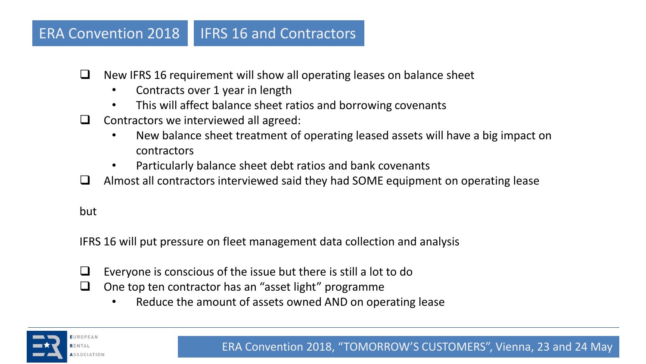### ERA Convention 2018 | IFRS 16 and Contractors

- $\Box$  New IFRS 16 requirement will show all operating leases on balance sheet
	- Contracts over 1 year in length
	- This will affect balance sheet ratios and borrowing covenants
- $\Box$  Contractors we interviewed all agreed:
	- New balance sheet treatment of operating leased assets will have a big impact on contractors
	- Particularly balance sheet debt ratios and bank covenants
- $\Box$  Almost all contractors interviewed said they had SOME equipment on operating lease

but

IFRS 16 will put pressure on fleet management data collection and analysis

- $\Box$  Everyone is conscious of the issue but there is still a lot to do
- $\Box$  One top ten contractor has an "asset light" programme
	- Reduce the amount of assets owned AND on operating lease

<span id="page-6-0"></span>SSOCIATION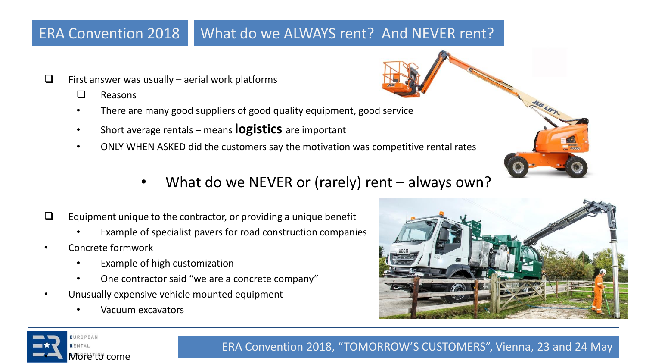# ERA Convention 2018 What do we ALWAYS rent? And NEVER rent?

- $\Box$  First answer was usually aerial work platforms
	- $\Box$  Reasons
	- There are many good suppliers of good quality equipment, good service
	- Short average rentals means **logistics** are important
	- ONLY WHEN ASKED did the customers say the motivation was competitive rental rates
		- What do we NEVER or (rarely) rent  $-$  always own?
- $\Box$  Equipment unique to the contractor, or providing a unique benefit
	- Example of specialist pavers for road construction companies
- Concrete formwork
	- Example of high customization
	- One contractor said "we are a concrete company"
- Unusually expensive vehicle mounted equipment
	- Vacuum excavators



<span id="page-7-0"></span>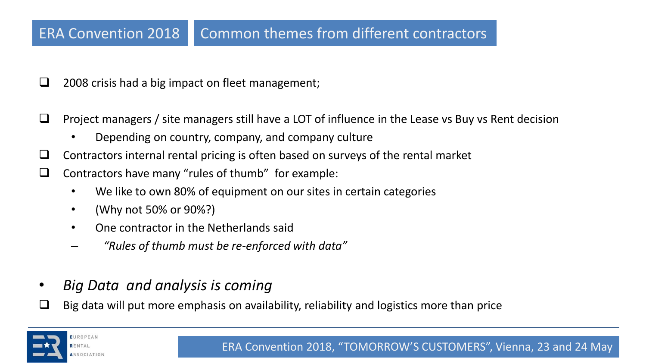# ERA Convention 2018 Common themes from different contractors

- 2008 crisis had a big impact on fleet management;
- $\Box$  Project managers / site managers still have a LOT of influence in the Lease vs Buy vs Rent decision
	- Depending on country, company, and company culture
- $\Box$  Contractors internal rental pricing is often based on surveys of the rental market
- $\Box$  Contractors have many "rules of thumb" for example:
	- We like to own 80% of equipment on our sites in certain categories
	- (Why not 50% or 90%?)
	- One contractor in the Netherlands said
	- *"Rules of thumb must be re-enforced with data"*
- *Big Data and analysis is coming*
- Big data will put more emphasis on availability, reliability and logistics more than price

<span id="page-8-0"></span>